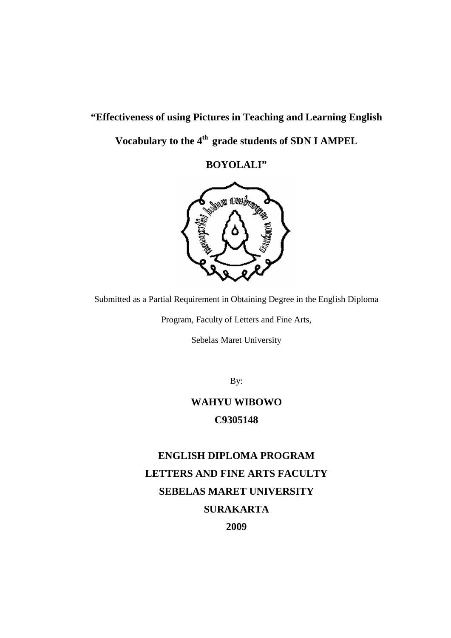# **"Effectiveness of using Pictures in Teaching and Learning English Vocabulary to the 4th grade students of SDN I AMPEL**

**BOYOLALI"**



Submitted as a Partial Requirement in Obtaining Degree in the English Diploma

Program, Faculty of Letters and Fine Arts,

Sebelas Maret University

By:

# **WAHYU WIBOWO C9305148**

# **ENGLISH DIPLOMA PROGRAM LETTERS AND FINE ARTS FACULTY SEBELAS MARET UNIVERSITY SURAKARTA 2009**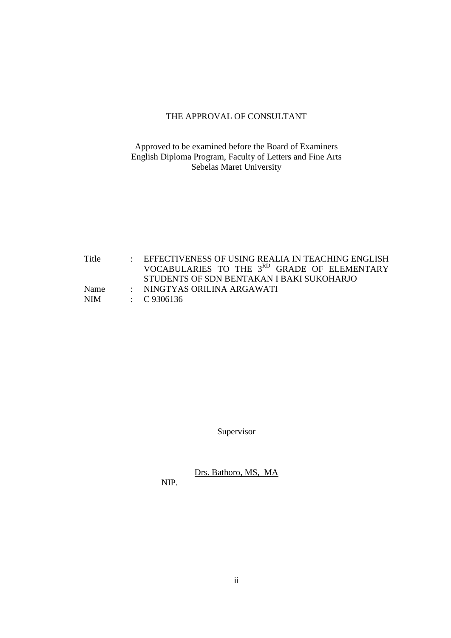# THE APPROVAL OF CONSULTANT

# Approved to be examined before the Board of Examiners English Diploma Program, Faculty of Letters and Fine Arts Sebelas Maret University

Title : EFFECTIVENESS OF USING REALIA IN TEACHING ENGLISH VOCABULARIES TO THE 3<sup>RD</sup> GRADE OF ELEMENTARY STUDENTS OF SDN BENTAKAN I BAKI SUKOHARJO Name : NINGTYAS ORILINA ARGAWATI NIM : C 9306136

Supervisor

Drs. Bathoro, MS, MA

NIP.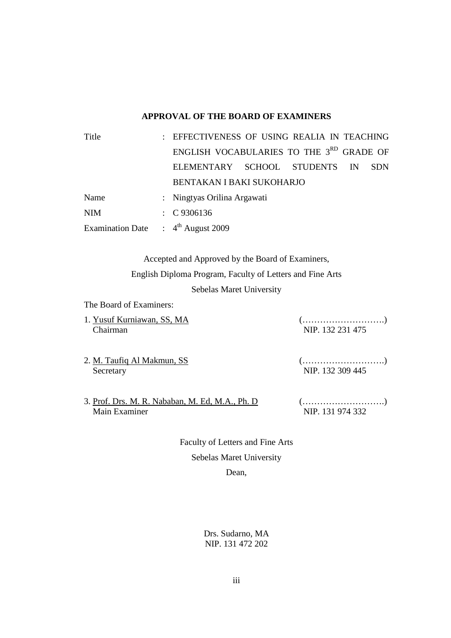# **APPROVAL OF THE BOARD OF EXAMINERS**

| Title                                |  | : EFFECTIVENESS OF USING REALIA IN TEACHING          |  |           |            |
|--------------------------------------|--|------------------------------------------------------|--|-----------|------------|
|                                      |  | ENGLISH VOCABULARIES TO THE 3 <sup>RD</sup> GRADE OF |  |           |            |
|                                      |  | ELEMENTARY SCHOOL STUDENTS                           |  | <b>IN</b> | <b>SDN</b> |
|                                      |  |                                                      |  |           |            |
| Name                                 |  | : Ningtyas Orilina Argawati                          |  |           |            |
| <b>NIM</b>                           |  | $\therefore$ C 9306136                               |  |           |            |
| Examination Date : $4th$ August 2009 |  |                                                      |  |           |            |

Accepted and Approved by the Board of Examiners, English Diploma Program, Faculty of Letters and Fine Arts Sebelas Maret University

The Board of Examiners:

1. Yusuf Kurniawan, SS, MA (……………………….) Chairman NIP. 132 231 475

- 2. M. Taufiq Al Makmun, SS (……………………….) Secretary NIP. 132 309 445
- 3. Prof. Drs. M. R. Nababan, M. Ed, M.A., Ph. D (……………………….)

NIP. 131 974 332

Faculty of Letters and Fine Arts Sebelas Maret University Dean,

> Drs. Sudarno, MA NIP. 131 472 202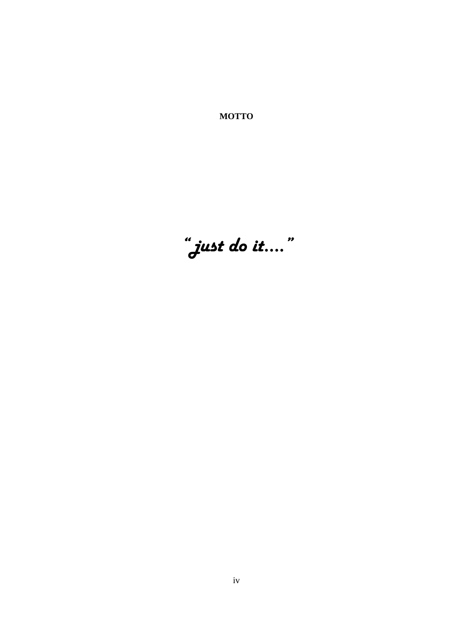**MOTTO**

*" just do it…."*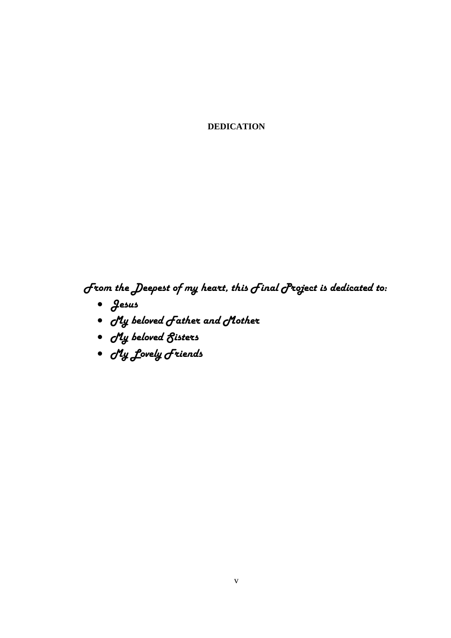**DEDICATION**

*From the Deepest of my heart, this Final Project is dedicated to:*

- · *Jesus*
- · *My beloved Father and Mother*
- · *My beloved Sisters*
- · *My Lovely Friends*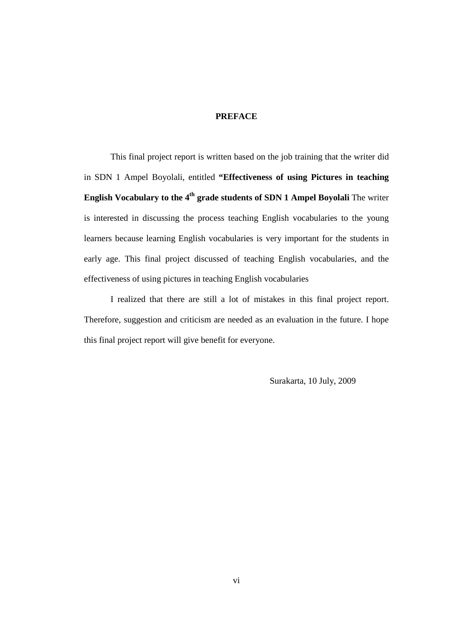#### **PREFACE**

This final project report is written based on the job training that the writer did in SDN 1 Ampel Boyolali, entitled **"Effectiveness of using Pictures in teaching English Vocabulary to the 4th grade students of SDN 1 Ampel Boyolali** The writer is interested in discussing the process teaching English vocabularies to the young learners because learning English vocabularies is very important for the students in early age. This final project discussed of teaching English vocabularies, and the effectiveness of using pictures in teaching English vocabularies

I realized that there are still a lot of mistakes in this final project report. Therefore, suggestion and criticism are needed as an evaluation in the future. I hope this final project report will give benefit for everyone.

Surakarta, 10 July, 2009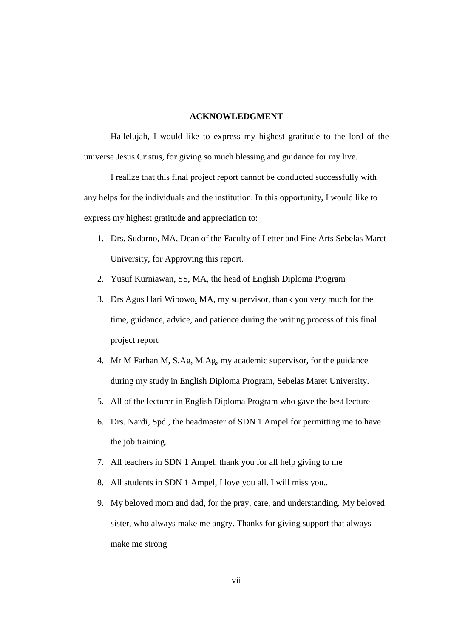#### **ACKNOWLEDGMENT**

Hallelujah, I would like to express my highest gratitude to the lord of the universe Jesus Cristus, for giving so much blessing and guidance for my live.

I realize that this final project report cannot be conducted successfully with any helps for the individuals and the institution. In this opportunity, I would like to express my highest gratitude and appreciation to:

- 1. Drs. Sudarno, MA, Dean of the Faculty of Letter and Fine Arts Sebelas Maret University, for Approving this report.
- 2. Yusuf Kurniawan, SS, MA, the head of English Diploma Program
- 3. Drs Agus Hari Wibowo, MA, my supervisor, thank you very much for the time, guidance, advice, and patience during the writing process of this final project report
- 4. Mr M Farhan M, S.Ag, M.Ag, my academic supervisor, for the guidance during my study in English Diploma Program, Sebelas Maret University.
- 5. All of the lecturer in English Diploma Program who gave the best lecture
- 6. Drs. Nardi, Spd , the headmaster of SDN 1 Ampel for permitting me to have the job training.
- 7. All teachers in SDN 1 Ampel, thank you for all help giving to me
- 8. All students in SDN 1 Ampel, I love you all. I will miss you..
- 9. My beloved mom and dad, for the pray, care, and understanding. My beloved sister, who always make me angry. Thanks for giving support that always make me strong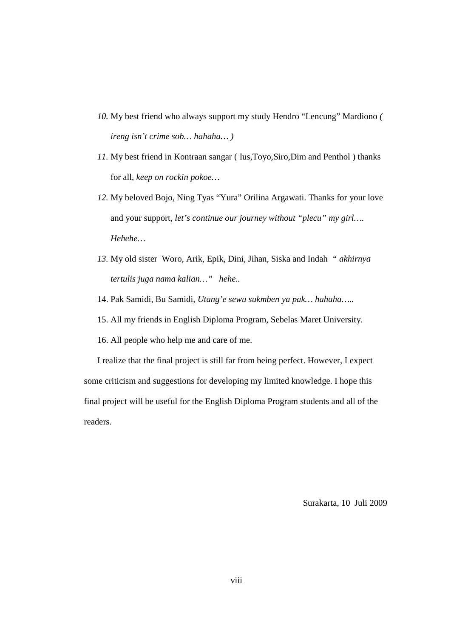- *10.* My best friend who always support my study Hendro "Lencung" Mardiono *( ireng isn't crime sob… hahaha… )*
- *11.* My best friend in Kontraan sangar ( Ius,Toyo,Siro,Dim and Penthol ) thanks for all, *keep on rockin pokoe…*
- *12.* My beloved Bojo, Ning Tyas "Yura" Orilina Argawati. Thanks for your love and your support, *let's continue our journey without "plecu" my girl…. Hehehe…*
- *13.* My old sister Woro, Arik, Epik, Dini, Jihan, Siska and Indah *" akhirnya tertulis juga nama kalian…" hehe..*
- 14. Pak Samidi, Bu Samidi, *Utang'e sewu sukmben ya pak… hahaha…..*
- 15. All my friends in English Diploma Program, Sebelas Maret University.
- 16. All people who help me and care of me.

I realize that the final project is still far from being perfect. However, I expect some criticism and suggestions for developing my limited knowledge. I hope this final project will be useful for the English Diploma Program students and all of the readers.

Surakarta, 10 Juli 2009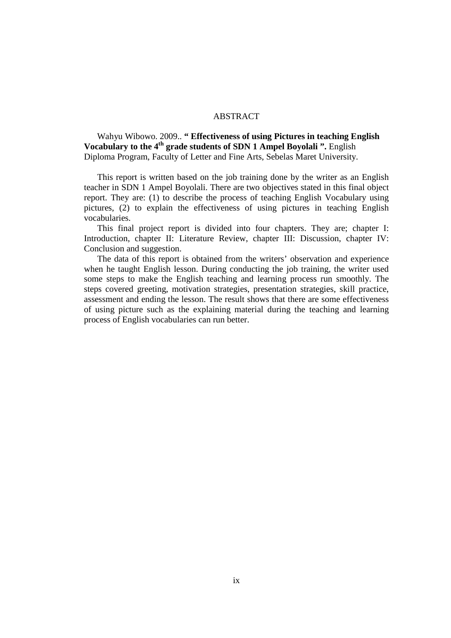#### ABSTRACT

Wahyu Wibowo. 2009.. **" Effectiveness of using Pictures in teaching English Vocabulary to the 4<sup>th</sup> grade students of SDN 1 Ampel Boyolali ".** English Diploma Program, Faculty of Letter and Fine Arts, Sebelas Maret University.

This report is written based on the job training done by the writer as an English teacher in SDN 1 Ampel Boyolali. There are two objectives stated in this final object report. They are: (1) to describe the process of teaching English Vocabulary using pictures, (2) to explain the effectiveness of using pictures in teaching English vocabularies.

This final project report is divided into four chapters. They are; chapter I: Introduction, chapter II: Literature Review, chapter III: Discussion, chapter IV: Conclusion and suggestion.

The data of this report is obtained from the writers' observation and experience when he taught English lesson. During conducting the job training, the writer used some steps to make the English teaching and learning process run smoothly. The steps covered greeting, motivation strategies, presentation strategies, skill practice, assessment and ending the lesson. The result shows that there are some effectiveness of using picture such as the explaining material during the teaching and learning process of English vocabularies can run better.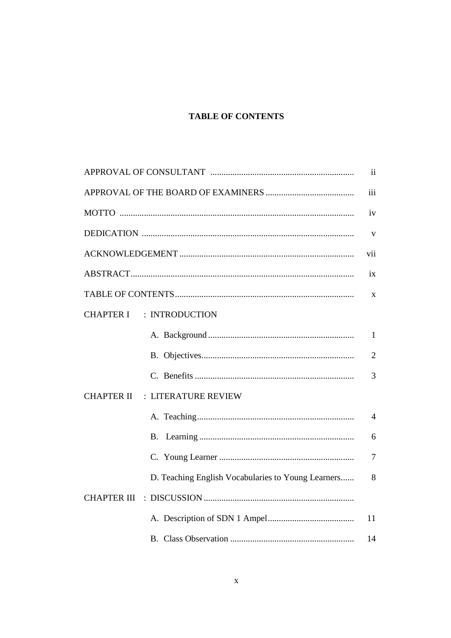# **TABLE OF CONTENTS**

|                                                    | ii             |
|----------------------------------------------------|----------------|
|                                                    | iii            |
|                                                    | iv             |
|                                                    | V              |
|                                                    | vii            |
|                                                    | 1X             |
|                                                    | X              |
| : INTRODUCTION<br><b>CHAPTER I</b>                 |                |
|                                                    | $\mathbf{1}$   |
|                                                    | $\overline{2}$ |
|                                                    | 3              |
| <b>CHAPTER II</b><br>: LITERATURE REVIEW           |                |
|                                                    | $\overline{4}$ |
|                                                    | 6              |
|                                                    | $\overline{7}$ |
| D. Teaching English Vocabularies to Young Learners | 8              |
| <b>CHAPTER III</b>                                 |                |
|                                                    | 11             |
|                                                    | 14             |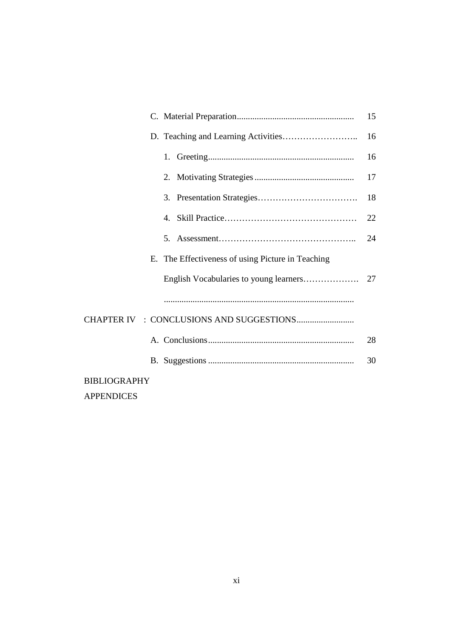|  |                                          |  |                                                   | 15 |  |
|--|------------------------------------------|--|---------------------------------------------------|----|--|
|  |                                          |  |                                                   | 16 |  |
|  |                                          |  |                                                   | 16 |  |
|  |                                          |  |                                                   | 17 |  |
|  |                                          |  |                                                   | 18 |  |
|  |                                          |  |                                                   | 22 |  |
|  |                                          |  |                                                   | 24 |  |
|  |                                          |  | E. The Effectiveness of using Picture in Teaching |    |  |
|  |                                          |  |                                                   |    |  |
|  |                                          |  |                                                   |    |  |
|  |                                          |  |                                                   |    |  |
|  |                                          |  |                                                   | 28 |  |
|  |                                          |  |                                                   | 30 |  |
|  | <b>BIBLIOGRAPHY</b><br><b>APPENDICES</b> |  |                                                   |    |  |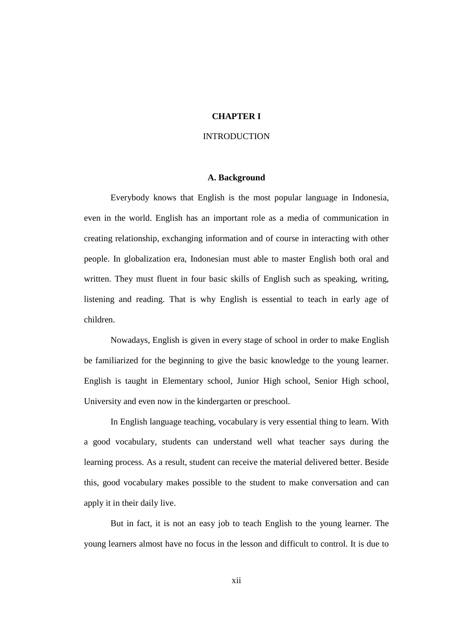#### **CHAPTER I**

#### INTRODUCTION

#### **A. Background**

Everybody knows that English is the most popular language in Indonesia, even in the world. English has an important role as a media of communication in creating relationship, exchanging information and of course in interacting with other people. In globalization era, Indonesian must able to master English both oral and written. They must fluent in four basic skills of English such as speaking, writing, listening and reading. That is why English is essential to teach in early age of children.

Nowadays, English is given in every stage of school in order to make English be familiarized for the beginning to give the basic knowledge to the young learner. English is taught in Elementary school, Junior High school, Senior High school, University and even now in the kindergarten or preschool.

In English language teaching, vocabulary is very essential thing to learn. With a good vocabulary, students can understand well what teacher says during the learning process. As a result, student can receive the material delivered better. Beside this, good vocabulary makes possible to the student to make conversation and can apply it in their daily live.

But in fact, it is not an easy job to teach English to the young learner. The young learners almost have no focus in the lesson and difficult to control. It is due to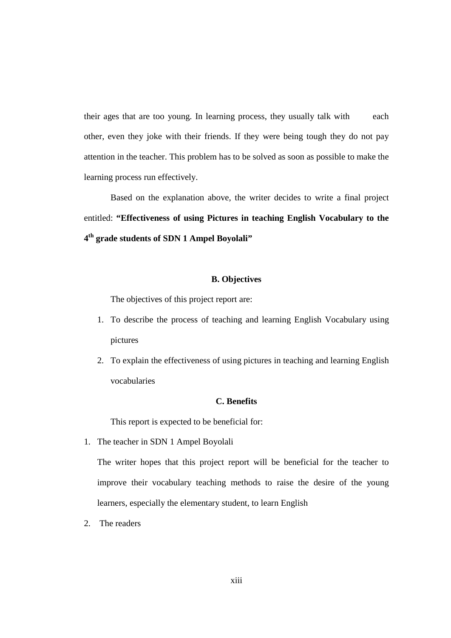their ages that are too young. In learning process, they usually talk with each other, even they joke with their friends. If they were being tough they do not pay attention in the teacher. This problem has to be solved as soon as possible to make the learning process run effectively.

Based on the explanation above, the writer decides to write a final project entitled: **"Effectiveness of using Pictures in teaching English Vocabulary to the 4th grade students of SDN 1 Ampel Boyolali"**

# **B. Objectives**

The objectives of this project report are:

- 1. To describe the process of teaching and learning English Vocabulary using pictures
- 2. To explain the effectiveness of using pictures in teaching and learning English vocabularies

#### **C. Benefits**

This report is expected to be beneficial for:

1. The teacher in SDN 1 Ampel Boyolali

The writer hopes that this project report will be beneficial for the teacher to improve their vocabulary teaching methods to raise the desire of the young learners, especially the elementary student, to learn English

2. The readers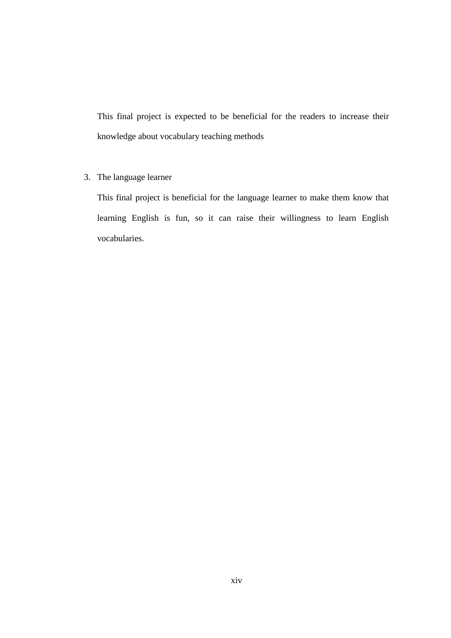This final project is expected to be beneficial for the readers to increase their knowledge about vocabulary teaching methods

3. The language learner

This final project is beneficial for the language learner to make them know that learning English is fun, so it can raise their willingness to learn English vocabularies.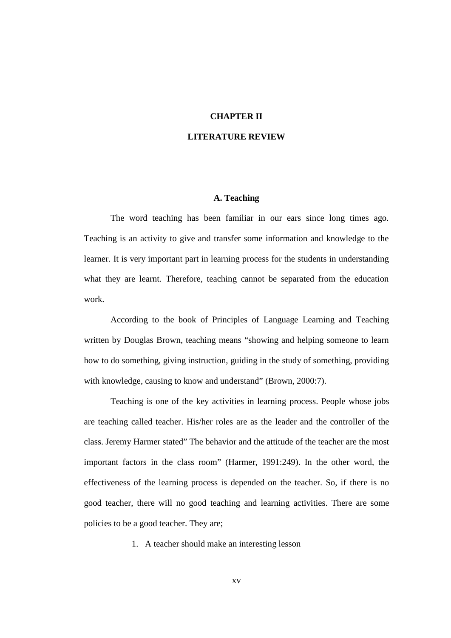# **CHAPTER II**

#### **LITERATURE REVIEW**

#### **A. Teaching**

The word teaching has been familiar in our ears since long times ago. Teaching is an activity to give and transfer some information and knowledge to the learner. It is very important part in learning process for the students in understanding what they are learnt. Therefore, teaching cannot be separated from the education work.

According to the book of Principles of Language Learning and Teaching written by Douglas Brown, teaching means "showing and helping someone to learn how to do something, giving instruction, guiding in the study of something, providing with knowledge, causing to know and understand" (Brown, 2000:7).

Teaching is one of the key activities in learning process. People whose jobs are teaching called teacher. His/her roles are as the leader and the controller of the class. Jeremy Harmer stated" The behavior and the attitude of the teacher are the most important factors in the class room" (Harmer, 1991:249). In the other word, the effectiveness of the learning process is depended on the teacher. So, if there is no good teacher, there will no good teaching and learning activities. There are some policies to be a good teacher. They are;

1. A teacher should make an interesting lesson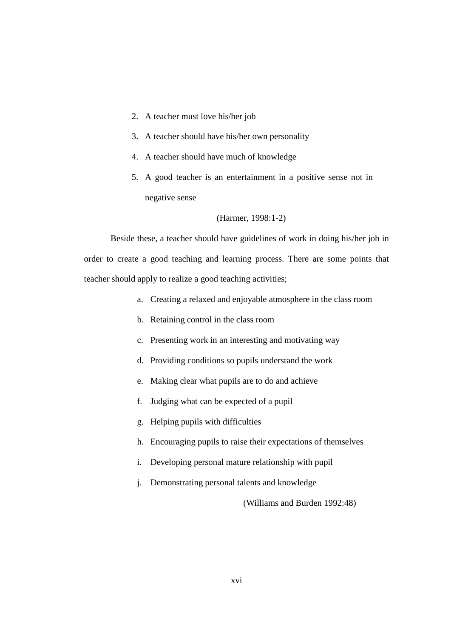- 2. A teacher must love his/her job
- 3. A teacher should have his/her own personality
- 4. A teacher should have much of knowledge
- 5. A good teacher is an entertainment in a positive sense not in negative sense

#### (Harmer, 1998:1-2)

Beside these, a teacher should have guidelines of work in doing his/her job in order to create a good teaching and learning process. There are some points that teacher should apply to realize a good teaching activities;

- a. Creating a relaxed and enjoyable atmosphere in the class room
- b. Retaining control in the class room
- c. Presenting work in an interesting and motivating way
- d. Providing conditions so pupils understand the work
- e. Making clear what pupils are to do and achieve
- f. Judging what can be expected of a pupil
- g. Helping pupils with difficulties
- h. Encouraging pupils to raise their expectations of themselves
- i. Developing personal mature relationship with pupil
- j. Demonstrating personal talents and knowledge

(Williams and Burden 1992:48)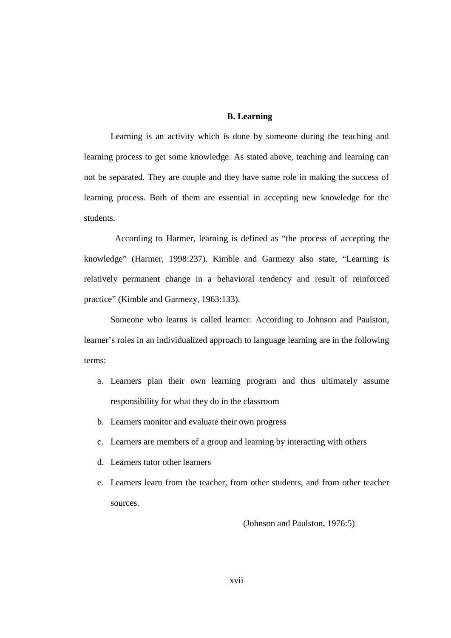#### **B. Learning**

Learning is an activity which is done by someone during the teaching and learning process to get some knowledge. As stated above, teaching and learning can not be separated. They are couple and they have same role in making the success of learning process. Both of them are essential in accepting new knowledge for the students.

 According to Harmer, learning is defined as "the process of accepting the knowledge" (Harmer, 1998:237). Kimble and Garmezy also state, "Learning is relatively permanent change in a behavioral tendency and result of reinforced practice" (Kimble and Garmezy, 1963:133).

Someone who learns is called learner. According to Johnson and Paulston, learner's roles in an individualized approach to language learning are in the following terms:

- a. Learners plan their own learning program and thus ultimately assume responsibility for what they do in the classroom
- b. Learners monitor and evaluate their own progress
- c. Learners are members of a group and learning by interacting with others
- d. Learners tutor other learners
- e. Learners learn from the teacher, from other students, and from other teacher sources.

(Johnson and Paulston, 1976:5)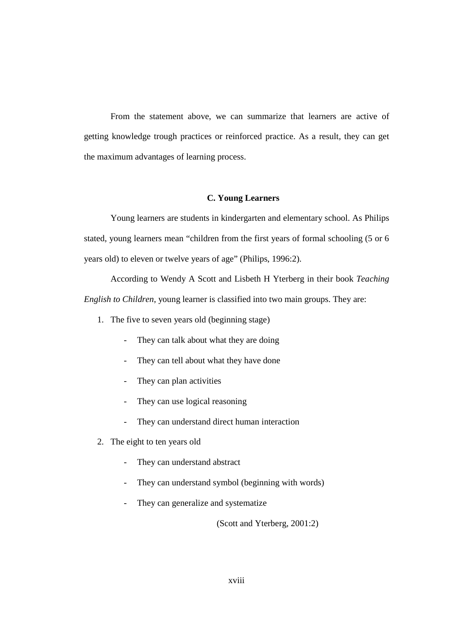From the statement above, we can summarize that learners are active of getting knowledge trough practices or reinforced practice. As a result, they can get the maximum advantages of learning process.

#### **C. Young Learners**

Young learners are students in kindergarten and elementary school. As Philips stated, young learners mean "children from the first years of formal schooling (5 or 6 years old) to eleven or twelve years of age" (Philips, 1996:2).

According to Wendy A Scott and Lisbeth H Yterberg in their book *Teaching English to Children*, young learner is classified into two main groups. They are:

- 1. The five to seven years old (beginning stage)
	- They can talk about what they are doing
	- They can tell about what they have done
	- They can plan activities
	- They can use logical reasoning
	- They can understand direct human interaction
- 2. The eight to ten years old
	- They can understand abstract
	- They can understand symbol (beginning with words)
	- They can generalize and systematize

(Scott and Yterberg, 2001:2)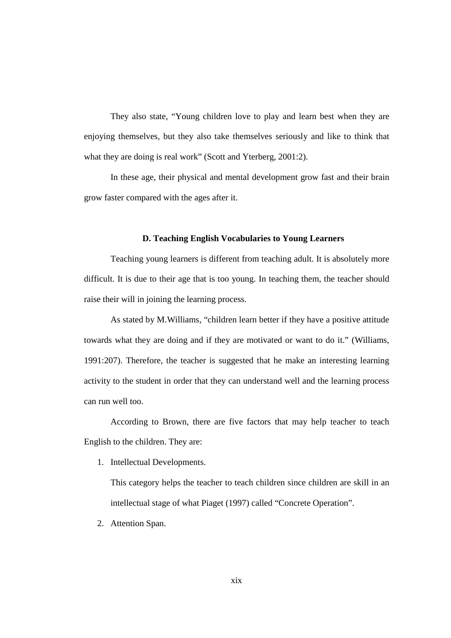They also state, "Young children love to play and learn best when they are enjoying themselves, but they also take themselves seriously and like to think that what they are doing is real work" (Scott and Yterberg, 2001:2).

In these age, their physical and mental development grow fast and their brain grow faster compared with the ages after it.

#### **D. Teaching English Vocabularies to Young Learners**

Teaching young learners is different from teaching adult. It is absolutely more difficult. It is due to their age that is too young. In teaching them, the teacher should raise their will in joining the learning process.

As stated by M.Williams, "children learn better if they have a positive attitude towards what they are doing and if they are motivated or want to do it." (Williams, 1991:207). Therefore, the teacher is suggested that he make an interesting learning activity to the student in order that they can understand well and the learning process can run well too.

According to Brown, there are five factors that may help teacher to teach English to the children. They are:

1. Intellectual Developments.

This category helps the teacher to teach children since children are skill in an intellectual stage of what Piaget (1997) called "Concrete Operation".

2. Attention Span.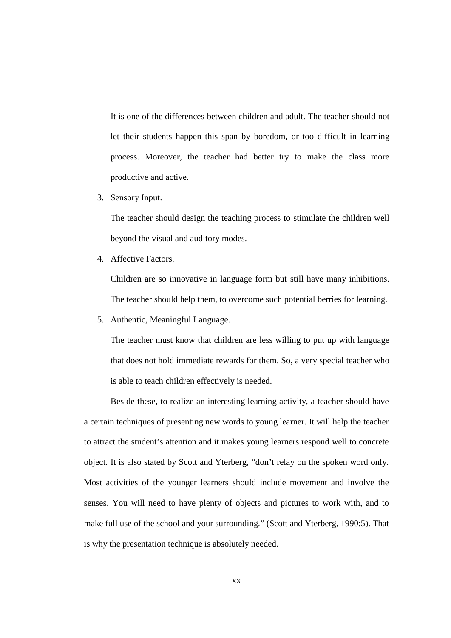It is one of the differences between children and adult. The teacher should not let their students happen this span by boredom, or too difficult in learning process. Moreover, the teacher had better try to make the class more productive and active.

3. Sensory Input.

The teacher should design the teaching process to stimulate the children well beyond the visual and auditory modes.

4. Affective Factors.

Children are so innovative in language form but still have many inhibitions. The teacher should help them, to overcome such potential berries for learning.

5. Authentic, Meaningful Language.

The teacher must know that children are less willing to put up with language that does not hold immediate rewards for them. So, a very special teacher who is able to teach children effectively is needed.

Beside these, to realize an interesting learning activity, a teacher should have a certain techniques of presenting new words to young learner. It will help the teacher to attract the student's attention and it makes young learners respond well to concrete object. It is also stated by Scott and Yterberg, "don't relay on the spoken word only. Most activities of the younger learners should include movement and involve the senses. You will need to have plenty of objects and pictures to work with, and to make full use of the school and your surrounding." (Scott and Yterberg, 1990:5). That is why the presentation technique is absolutely needed.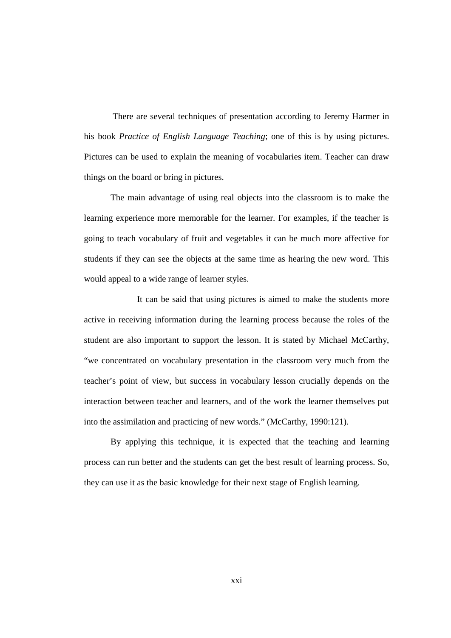There are several techniques of presentation according to Jeremy Harmer in his book *Practice of English Language Teaching*; one of this is by using pictures. Pictures can be used to explain the meaning of vocabularies item. Teacher can draw things on the board or bring in pictures.

The main advantage of using real objects into the classroom is to make the learning experience more memorable for the learner. For examples, if the teacher is going to teach vocabulary of fruit and vegetables it can be much more affective for students if they can see the objects at the same time as hearing the new word. This would appeal to a wide range of learner styles.

It can be said that using pictures is aimed to make the students more active in receiving information during the learning process because the roles of the student are also important to support the lesson. It is stated by Michael McCarthy, "we concentrated on vocabulary presentation in the classroom very much from the teacher's point of view, but success in vocabulary lesson crucially depends on the interaction between teacher and learners, and of the work the learner themselves put into the assimilation and practicing of new words." (McCarthy, 1990:121).

By applying this technique, it is expected that the teaching and learning process can run better and the students can get the best result of learning process. So, they can use it as the basic knowledge for their next stage of English learning.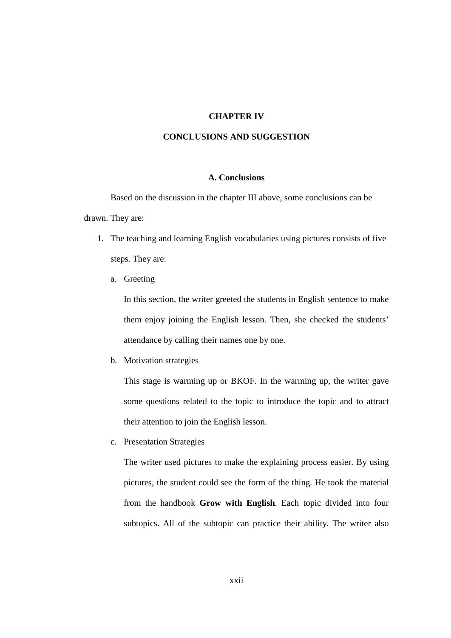# **CHAPTER IV**

### **CONCLUSIONS AND SUGGESTION**

#### **A. Conclusions**

Based on the discussion in the chapter III above, some conclusions can be drawn. They are:

- 1. The teaching and learning English vocabularies using pictures consists of five steps. They are:
	- a. Greeting

In this section, the writer greeted the students in English sentence to make them enjoy joining the English lesson. Then, she checked the students' attendance by calling their names one by one.

b. Motivation strategies

This stage is warming up or BKOF. In the warming up, the writer gave some questions related to the topic to introduce the topic and to attract their attention to join the English lesson.

c. Presentation Strategies

The writer used pictures to make the explaining process easier. By using pictures*,* the student could see the form of the thing. He took the material from the handbook **Grow with English**. Each topic divided into four subtopics. All of the subtopic can practice their ability. The writer also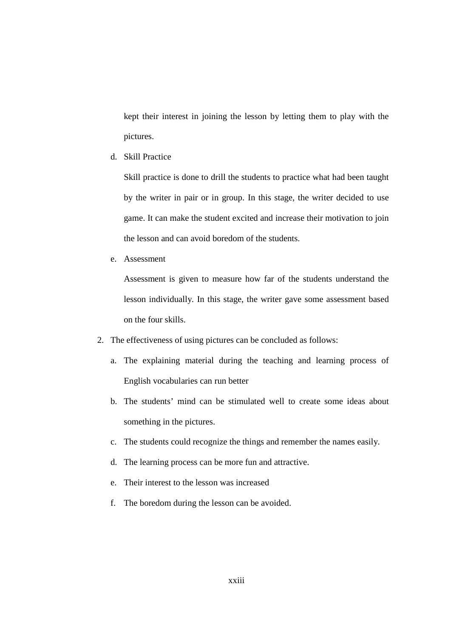kept their interest in joining the lesson by letting them to play with the pictures.

d. Skill Practice

Skill practice is done to drill the students to practice what had been taught by the writer in pair or in group. In this stage, the writer decided to use game. It can make the student excited and increase their motivation to join the lesson and can avoid boredom of the students.

e. Assessment

Assessment is given to measure how far of the students understand the lesson individually. In this stage, the writer gave some assessment based on the four skills.

- 2. The effectiveness of using pictures can be concluded as follows:
	- a. The explaining material during the teaching and learning process of English vocabularies can run better
	- b. The students' mind can be stimulated well to create some ideas about something in the pictures.
	- c. The students could recognize the things and remember the names easily.
	- d. The learning process can be more fun and attractive.
	- e. Their interest to the lesson was increased
	- f. The boredom during the lesson can be avoided.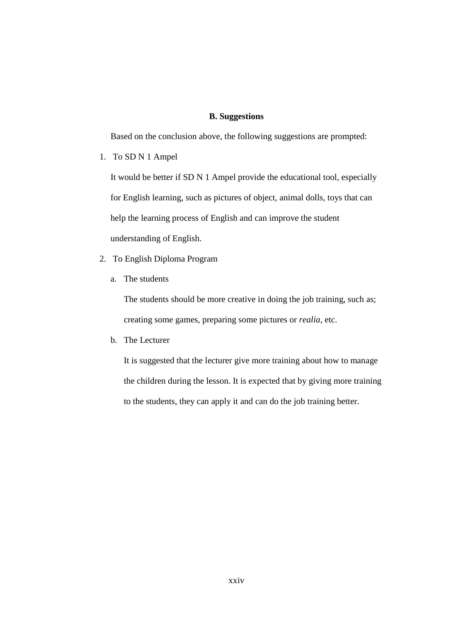# **B. Suggestions**

Based on the conclusion above, the following suggestions are prompted:

1. To SD N 1 Ampel

It would be better if SD N 1 Ampel provide the educational tool, especially for English learning, such as pictures of object, animal dolls, toys that can help the learning process of English and can improve the student understanding of English.

- 2. To English Diploma Program
	- a. The students

The students should be more creative in doing the job training, such as; creating some games, preparing some pictures or *realia*, etc.

b. The Lecturer

It is suggested that the lecturer give more training about how to manage the children during the lesson. It is expected that by giving more training to the students, they can apply it and can do the job training better.